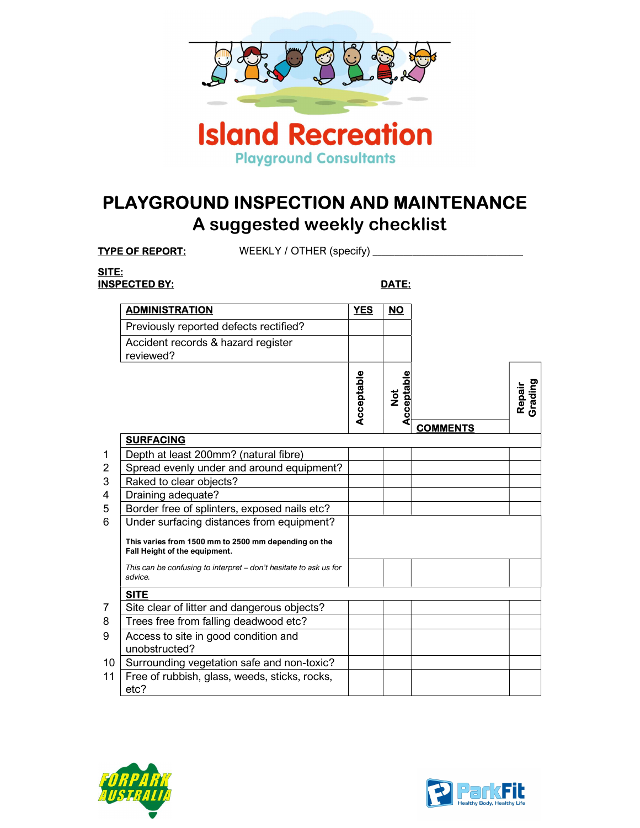

## PLAYGROUND INSPECTION AND MAINTENANCE A suggested weekly checklist

TYPE OF REPORT: WEEKLY / OTHER (specify)

## SITE: INSPECTED BY: DATE:

| <b>ADMINISTRATION</b>                                                                 | <b>YES</b> | <b>NO</b>                       |                 |                   |
|---------------------------------------------------------------------------------------|------------|---------------------------------|-----------------|-------------------|
| Previously reported defects rectified?                                                |            |                                 |                 |                   |
| Accident records & hazard register<br>reviewed?                                       |            |                                 |                 |                   |
|                                                                                       | Acceptable | cceptable<br>$\frac{1}{2}$<br>Č | <b>COMMENTS</b> | Repair<br>Grading |
| <b>SURFACING</b>                                                                      |            |                                 |                 |                   |
| Depth at least 200mm? (natural fibre)                                                 |            |                                 |                 |                   |
| Spread evenly under and around equipment?                                             |            |                                 |                 |                   |
| Raked to clear objects?                                                               |            |                                 |                 |                   |
| Draining adequate?                                                                    |            |                                 |                 |                   |
| Border free of splinters, exposed nails etc?                                          |            |                                 |                 |                   |
| Under surfacing distances from equipment?                                             |            |                                 |                 |                   |
| This varies from 1500 mm to 2500 mm depending on the<br>Fall Height of the equipment. |            |                                 |                 |                   |
| This can be confusing to interpret – don't hesitate to ask us for<br>advice.          |            |                                 |                 |                   |
| <b>SITE</b>                                                                           |            |                                 |                 |                   |
| Site clear of litter and dangerous objects?                                           |            |                                 |                 |                   |
| Trees free from falling deadwood etc?                                                 |            |                                 |                 |                   |
| Access to site in good condition and<br>unobstructed?                                 |            |                                 |                 |                   |
| 10<br>Surrounding vegetation safe and non-toxic?                                      |            |                                 |                 |                   |
| Free of rubbish, glass, weeds, sticks, rocks,<br>11<br>etc?                           |            |                                 |                 |                   |